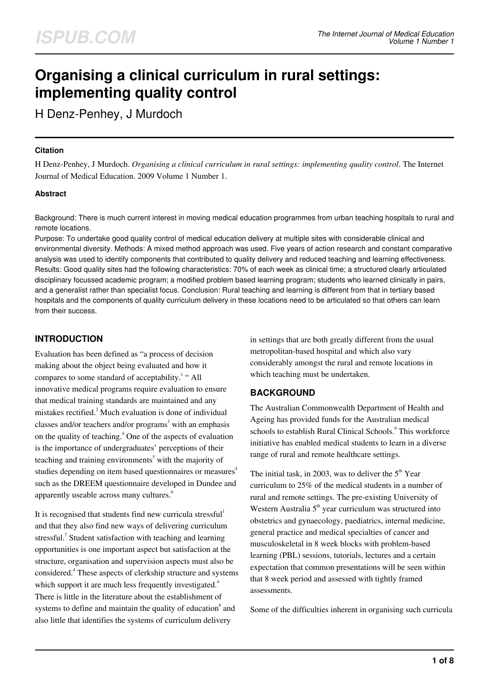# **Organising a clinical curriculum in rural settings: implementing quality control**

H Denz-Penhey, J Murdoch

#### **Citation**

H Denz-Penhey, J Murdoch. *Organising a clinical curriculum in rural settings: implementing quality control*. The Internet Journal of Medical Education. 2009 Volume 1 Number 1.

#### **Abstract**

Background: There is much current interest in moving medical education programmes from urban teaching hospitals to rural and remote locations.

Purpose: To undertake good quality control of medical education delivery at multiple sites with considerable clinical and environmental diversity. Methods: A mixed method approach was used. Five years of action research and constant comparative analysis was used to identify components that contributed to quality delivery and reduced teaching and learning effectiveness. Results: Good quality sites had the following characteristics: 70% of each week as clinical time; a structured clearly articulated disciplinary focussed academic program; a modified problem based learning program; students who learned clinically in pairs, and a generalist rather than specialist focus. Conclusion: Rural teaching and learning is different from that in tertiary based hospitals and the components of quality curriculum delivery in these locations need to be articulated so that others can learn from their success.

## **INTRODUCTION**

Evaluation has been defined as "a process of decision making about the object being evaluated and how it compares to some standard of acceptability.<sup>1</sup> "All innovative medical programs require evaluation to ensure that medical training standards are maintained and any mistakes rectified.<sup>2</sup> Much evaluation is done of individual classes and/or teachers and/or programs<sup>3</sup> with an emphasis on the quality of teaching.<sup>4</sup> One of the aspects of evaluation is the importance of undergraduates' perceptions of their teaching and training environments<sup>5</sup> with the majority of studies depending on item based questionnaires or measures<sup>4</sup> such as the DREEM questionnaire developed in Dundee and apparently useable across many cultures.<sup>6</sup>

It is recognised that students find new curricula stressful<sup>1</sup> and that they also find new ways of delivering curriculum stressful.<sup>7</sup> Student satisfaction with teaching and learning opportunities is one important aspect but satisfaction at the structure, organisation and supervision aspects must also be considered.<sup>4</sup> These aspects of clerkship structure and systems which support it are much less frequently investigated.<sup>4</sup> There is little in the literature about the establishment of systems to define and maintain the quality of education $\delta$  and also little that identifies the systems of curriculum delivery

in settings that are both greatly different from the usual metropolitan-based hospital and which also vary considerably amongst the rural and remote locations in which teaching must be undertaken.

## **BACKGROUND**

The Australian Commonwealth Department of Health and Ageing has provided funds for the Australian medical schools to establish Rural Clinical Schools.<sup>9</sup> This workforce initiative has enabled medical students to learn in a diverse range of rural and remote healthcare settings.

The initial task, in 2003, was to deliver the  $5<sup>th</sup>$  Year curriculum to 25% of the medical students in a number of rural and remote settings. The pre-existing University of Western Australia  $5<sup>th</sup>$  year curriculum was structured into obstetrics and gynaecology, paediatrics, internal medicine, general practice and medical specialties of cancer and musculoskeletal in 8 week blocks with problem-based learning (PBL) sessions, tutorials, lectures and a certain expectation that common presentations will be seen within that 8 week period and assessed with tightly framed assessments.

Some of the difficulties inherent in organising such curricula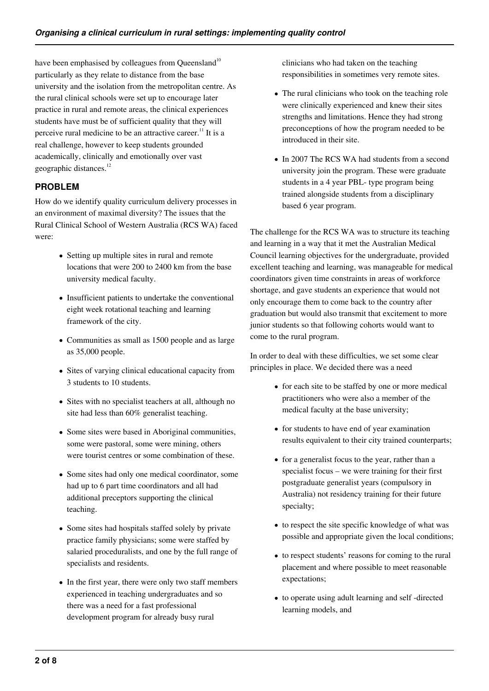have been emphasised by colleagues from Queensland<sup>10</sup> particularly as they relate to distance from the base university and the isolation from the metropolitan centre. As the rural clinical schools were set up to encourage later practice in rural and remote areas, the clinical experiences students have must be of sufficient quality that they will perceive rural medicine to be an attractive career.<sup>11</sup> It is a real challenge, however to keep students grounded academically, clinically and emotionally over vast geographic distances.<sup>12</sup>

## **PROBLEM**

How do we identify quality curriculum delivery processes in an environment of maximal diversity? The issues that the Rural Clinical School of Western Australia (RCS WA) faced were:

- Setting up multiple sites in rural and remote locations that were 200 to 2400 km from the base university medical faculty.
- Insufficient patients to undertake the conventional eight week rotational teaching and learning framework of the city.
- Communities as small as 1500 people and as large as 35,000 people.
- Sites of varying clinical educational capacity from 3 students to 10 students.
- Sites with no specialist teachers at all, although no site had less than 60% generalist teaching.
- Some sites were based in Aboriginal communities, some were pastoral, some were mining, others were tourist centres or some combination of these.
- Some sites had only one medical coordinator, some had up to 6 part time coordinators and all had additional preceptors supporting the clinical teaching.
- Some sites had hospitals staffed solely by private practice family physicians; some were staffed by salaried proceduralists, and one by the full range of specialists and residents.
- In the first year, there were only two staff members experienced in teaching undergraduates and so there was a need for a fast professional development program for already busy rural

clinicians who had taken on the teaching responsibilities in sometimes very remote sites.

- The rural clinicians who took on the teaching role were clinically experienced and knew their sites strengths and limitations. Hence they had strong preconceptions of how the program needed to be introduced in their site.
- In 2007 The RCS WA had students from a second university join the program. These were graduate students in a 4 year PBL- type program being trained alongside students from a disciplinary based 6 year program.

The challenge for the RCS WA was to structure its teaching and learning in a way that it met the Australian Medical Council learning objectives for the undergraduate, provided excellent teaching and learning, was manageable for medical coordinators given time constraints in areas of workforce shortage, and gave students an experience that would not only encourage them to come back to the country after graduation but would also transmit that excitement to more junior students so that following cohorts would want to come to the rural program.

In order to deal with these difficulties, we set some clear principles in place. We decided there was a need

- for each site to be staffed by one or more medical practitioners who were also a member of the medical faculty at the base university;
- for students to have end of year examination results equivalent to their city trained counterparts;
- for a generalist focus to the year, rather than a specialist focus – we were training for their first postgraduate generalist years (compulsory in Australia) not residency training for their future specialty;
- to respect the site specific knowledge of what was possible and appropriate given the local conditions;
- to respect students' reasons for coming to the rural placement and where possible to meet reasonable expectations;
- to operate using adult learning and self-directed learning models, and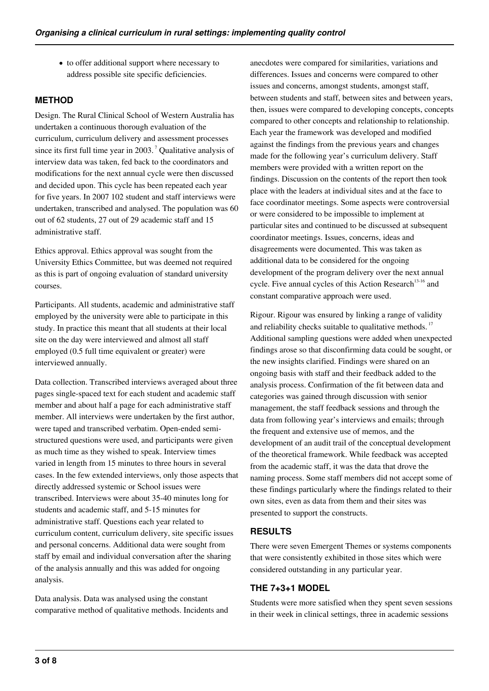to offer additional support where necessary to address possible site specific deficiencies.

# **METHOD**

Design. The Rural Clinical School of Western Australia has undertaken a continuous thorough evaluation of the curriculum, curriculum delivery and assessment processes since its first full time year in  $2003$ .<sup>7</sup> Qualitative analysis of interview data was taken, fed back to the coordinators and modifications for the next annual cycle were then discussed and decided upon. This cycle has been repeated each year for five years. In 2007 102 student and staff interviews were undertaken, transcribed and analysed. The population was 60 out of 62 students, 27 out of 29 academic staff and 15 administrative staff.

Ethics approval. Ethics approval was sought from the University Ethics Committee, but was deemed not required as this is part of ongoing evaluation of standard university courses.

Participants. All students, academic and administrative staff employed by the university were able to participate in this study. In practice this meant that all students at their local site on the day were interviewed and almost all staff employed (0.5 full time equivalent or greater) were interviewed annually.

Data collection. Transcribed interviews averaged about three pages single-spaced text for each student and academic staff member and about half a page for each administrative staff member. All interviews were undertaken by the first author, were taped and transcribed verbatim. Open-ended semistructured questions were used, and participants were given as much time as they wished to speak. Interview times varied in length from 15 minutes to three hours in several cases. In the few extended interviews, only those aspects that directly addressed systemic or School issues were transcribed. Interviews were about 35-40 minutes long for students and academic staff, and 5-15 minutes for administrative staff. Questions each year related to curriculum content, curriculum delivery, site specific issues and personal concerns. Additional data were sought from staff by email and individual conversation after the sharing of the analysis annually and this was added for ongoing analysis.

Data analysis. Data was analysed using the constant comparative method of qualitative methods. Incidents and anecdotes were compared for similarities, variations and differences. Issues and concerns were compared to other issues and concerns, amongst students, amongst staff, between students and staff, between sites and between years, then, issues were compared to developing concepts, concepts compared to other concepts and relationship to relationship. Each year the framework was developed and modified against the findings from the previous years and changes made for the following year's curriculum delivery. Staff members were provided with a written report on the findings. Discussion on the contents of the report then took place with the leaders at individual sites and at the face to face coordinator meetings. Some aspects were controversial or were considered to be impossible to implement at particular sites and continued to be discussed at subsequent coordinator meetings. Issues, concerns, ideas and disagreements were documented. This was taken as additional data to be considered for the ongoing development of the program delivery over the next annual cycle. Five annual cycles of this Action Research<sup>13-16</sup> and constant comparative approach were used.

Rigour. Rigour was ensured by linking a range of validity and reliability checks suitable to qualitative methods.<sup>17</sup> Additional sampling questions were added when unexpected findings arose so that disconfirming data could be sought, or the new insights clarified. Findings were shared on an ongoing basis with staff and their feedback added to the analysis process. Confirmation of the fit between data and categories was gained through discussion with senior management, the staff feedback sessions and through the data from following year's interviews and emails; through the frequent and extensive use of memos, and the development of an audit trail of the conceptual development of the theoretical framework. While feedback was accepted from the academic staff, it was the data that drove the naming process. Some staff members did not accept some of these findings particularly where the findings related to their own sites, even as data from them and their sites was presented to support the constructs.

### **RESULTS**

There were seven Emergent Themes or systems components that were consistently exhibited in those sites which were considered outstanding in any particular year.

## **THE 7+3+1 MODEL**

Students were more satisfied when they spent seven sessions in their week in clinical settings, three in academic sessions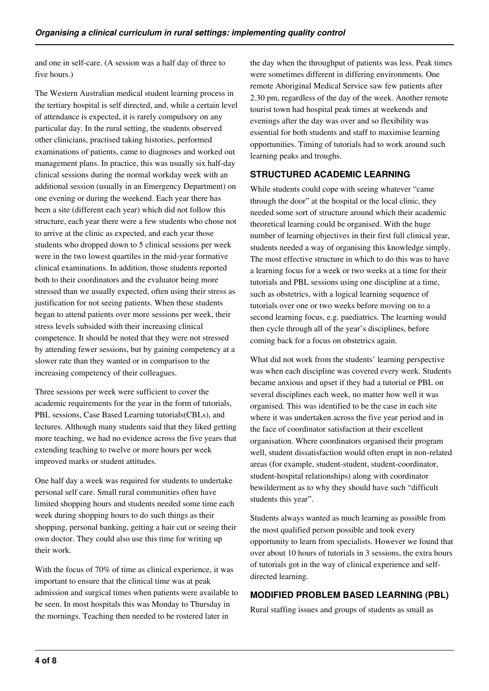and one in self-care. (A session was a half day of three to five hours.)

The Western Australian medical student learning process in the tertiary hospital is self directed, and, while a certain level of attendance is expected, it is rarely compulsory on any particular day. In the rural setting, the students observed other clinicians, practised taking histories, performed examinations of patients, came to diagnoses and worked out management plans. In practice, this was usually six half-day clinical sessions during the normal workday week with an additional session (usually in an Emergency Department) on one evening or during the weekend. Each year there has been a site (different each year) which did not follow this structure, each year there were a few students who chose not to arrive at the clinic as expected, and each year those students who dropped down to 5 clinical sessions per week were in the two lowest quartiles in the mid-year formative clinical examinations. In addition, those students reported both to their coordinators and the evaluator being more stressed than we usually expected, often using their stress as justification for not seeing patients. When these students began to attend patients over more sessions per week, their stress levels subsided with their increasing clinical competence. It should be noted that they were not stressed by attending fewer sessions, but by gaining competency at a slower rate than they wanted or in comparison to the increasing competency of their colleagues.

Three sessions per week were sufficient to cover the academic requirements for the year in the form of tutorials, PBL sessions, Case Based Learning tutorials(CBLs), and lectures. Although many students said that they liked getting more teaching, we had no evidence across the five years that extending teaching to twelve or more hours per week improved marks or student attitudes.

One half day a week was required for students to undertake personal self care. Small rural communities often have limited shopping hours and students needed some time each week during shopping hours to do such things as their shopping, personal banking, getting a hair cut or seeing their own doctor. They could also use this time for writing up their work.

With the focus of 70% of time as clinical experience, it was important to ensure that the clinical time was at peak admission and surgical times when patients were available to be seen. In most hospitals this was Monday to Thursday in the mornings. Teaching then needed to be rostered later in

the day when the throughput of patients was less. Peak times were sometimes different in differing environments. One remote Aboriginal Medical Service saw few patients after 2.30 pm, regardless of the day of the week. Another remote tourist town had hospital peak times at weekends and evenings after the day was over and so flexibility was essential for both students and staff to maximise learning opportunities. Timing of tutorials had to work around such learning peaks and troughs.

## **STRUCTURED ACADEMIC LEARNING**

While students could cope with seeing whatever "came through the door" at the hospital or the local clinic, they needed some sort of structure around which their academic theoretical learning could be organised. With the huge number of learning objectives in their first full clinical year, students needed a way of organising this knowledge simply. The most effective structure in which to do this was to have a learning focus for a week or two weeks at a time for their tutorials and PBL sessions using one discipline at a time, such as obstetrics, with a logical learning sequence of tutorials over one or two weeks before moving on to a second learning focus, e.g. paediatrics. The learning would then cycle through all of the year's disciplines, before coming back for a focus on obstetrics again.

What did not work from the students' learning perspective was when each discipline was covered every week. Students became anxious and upset if they had a tutorial or PBL on several disciplines each week, no matter how well it was organised. This was identified to be the case in each site where it was undertaken across the five year period and in the face of coordinator satisfaction at their excellent organisation. Where coordinators organised their program well, student dissatisfaction would often erupt in non-related areas (for example, student-student, student-coordinator, student-hospital relationships) along with coordinator bewilderment as to why they should have such "difficult students this year".

Students always wanted as much learning as possible from the most qualified person possible and took every opportunity to learn from specialists. However we found that over about 10 hours of tutorials in 3 sessions, the extra hours of tutorials got in the way of clinical experience and selfdirected learning.

## **MODIFIED PROBLEM BASED LEARNING (PBL)**

Rural staffing issues and groups of students as small as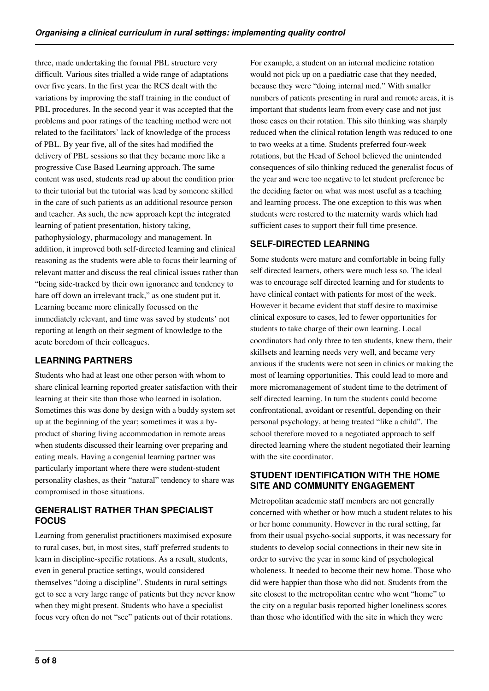three, made undertaking the formal PBL structure very difficult. Various sites trialled a wide range of adaptations over five years. In the first year the RCS dealt with the variations by improving the staff training in the conduct of PBL procedures. In the second year it was accepted that the problems and poor ratings of the teaching method were not related to the facilitators' lack of knowledge of the process of PBL. By year five, all of the sites had modified the delivery of PBL sessions so that they became more like a progressive Case Based Learning approach. The same content was used, students read up about the condition prior to their tutorial but the tutorial was lead by someone skilled in the care of such patients as an additional resource person and teacher. As such, the new approach kept the integrated learning of patient presentation, history taking, pathophysiology, pharmacology and management. In addition, it improved both self-directed learning and clinical reasoning as the students were able to focus their learning of relevant matter and discuss the real clinical issues rather than "being side-tracked by their own ignorance and tendency to hare off down an irrelevant track," as one student put it. Learning became more clinically focussed on the immediately relevant, and time was saved by students' not reporting at length on their segment of knowledge to the acute boredom of their colleagues.

# **LEARNING PARTNERS**

Students who had at least one other person with whom to share clinical learning reported greater satisfaction with their learning at their site than those who learned in isolation. Sometimes this was done by design with a buddy system set up at the beginning of the year; sometimes it was a byproduct of sharing living accommodation in remote areas when students discussed their learning over preparing and eating meals. Having a congenial learning partner was particularly important where there were student-student personality clashes, as their "natural" tendency to share was compromised in those situations.

## **GENERALIST RATHER THAN SPECIAL IST FOCUS**

Learning from generalist practitioners maximised exposure to rural cases, but, in most sites, staff preferred students to learn in discipline-specific rotations. As a result, students, even in general practice settings, would considered themselves "doing a discipline". Students in rural settings get to see a very large range of patients but they never know when they might present. Students who have a specialist focus very often do not "see" patients out of their rotations.

For example, a student on an internal medicine rotation would not pick up on a paediatric case that they needed, because they were "doing internal med." With smaller numbers of patients presenting in rural and remote areas, it is important that students learn from every case and not just those cases on their rotation. This silo thinking was sharply reduced when the clinical rotation length was reduced to one to two weeks at a time. Students preferred four-week rotations, but the Head of School believed the unintended consequences of silo thinking reduced the generalist focus of the year and were too negative to let student preference be the deciding factor on what was most useful as a teaching and learning process. The one exception to this was when students were rostered to the maternity wards which had sufficient cases to support their full time presence.

# **SELF-DIRECTED LEARNING**

Some students were mature and comfortable in being fully self directed learners, others were much less so. The ideal was to encourage self directed learning and for students to have clinical contact with patients for most of the week. However it became evident that staff desire to maximise clinical exposure to cases, led to fewer opportunities for students to take charge of their own learning. Local coordinators had only three to ten students, knew them, their skillsets and learning needs very well, and became very anxious if the students were not seen in clinics or making the most of learning opportunities. This could lead to more and more micromanagement of student time to the detriment of self directed learning. In turn the students could become confrontational, avoidant or resentful, depending on their personal psychology, at being treated "like a child". The school therefore moved to a negotiated approach to self directed learning where the student negotiated their learning with the site coordinator.

## **STUDENT IDENTIFICATION WITH THE HOME SITE AND COMMUNITY ENGAGEMENT**

Metropolitan academic staff members are not generally concerned with whether or how much a student relates to his or her home community. However in the rural setting, far from their usual psycho-social supports, it was necessary for students to develop social connections in their new site in order to survive the year in some kind of psychological wholeness. It needed to become their new home. Those who did were happier than those who did not. Students from the site closest to the metropolitan centre who went "home" to the city on a regular basis reported higher loneliness scores than those who identified with the site in which they were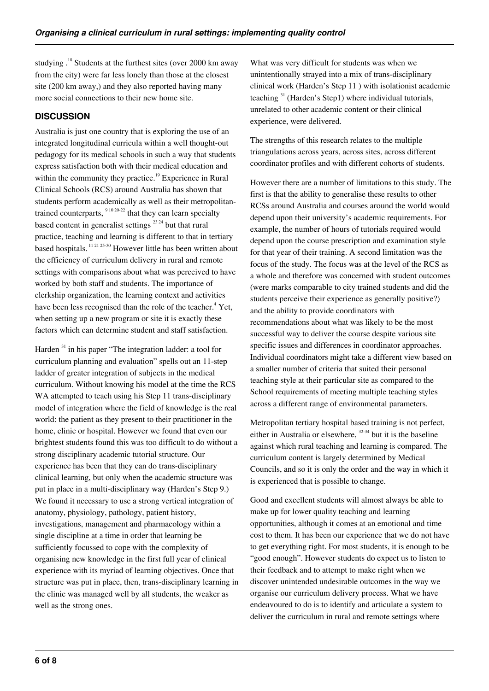studying .<sup>18</sup> Students at the furthest sites (over 2000 km away from the city) were far less lonely than those at the closest site (200 km away,) and they also reported having many more social connections to their new home site.

## **DISCUSSION**

Australia is just one country that is exploring the use of an integrated longitudinal curricula within a well thought-out pedagogy for its medical schools in such a way that students express satisfaction both with their medical education and within the community they practice.<sup>19</sup> Experience in Rural Clinical Schools (RCS) around Australia has shown that students perform academically as well as their metropolitantrained counterparts,  $91020-22$  that they can learn specialty based content in generalist settings  $^{23\,24}$  but that rural practice, teaching and learning is different to that in tertiary based hospitals. 11 21 25-30 However little has been written about the efficiency of curriculum delivery in rural and remote settings with comparisons about what was perceived to have worked by both staff and students. The importance of clerkship organization, the learning context and activities have been less recognised than the role of the teacher.<sup>4</sup> Yet, when setting up a new program or site it is exactly these factors which can determine student and staff satisfaction.

Harden <sup>31</sup> in his paper "The integration ladder: a tool for curriculum planning and evaluation" spells out an 11-step ladder of greater integration of subjects in the medical curriculum. Without knowing his model at the time the RCS WA attempted to teach using his Step 11 trans-disciplinary model of integration where the field of knowledge is the real world: the patient as they present to their practitioner in the home, clinic or hospital. However we found that even our brightest students found this was too difficult to do without a strong disciplinary academic tutorial structure. Our experience has been that they can do trans-disciplinary clinical learning, but only when the academic structure was put in place in a multi-disciplinary way (Harden's Step 9.) We found it necessary to use a strong vertical integration of anatomy, physiology, pathology, patient history, investigations, management and pharmacology within a single discipline at a time in order that learning be sufficiently focussed to cope with the complexity of organising new knowledge in the first full year of clinical experience with its myriad of learning objectives. Once that structure was put in place, then, trans-disciplinary learning in the clinic was managed well by all students, the weaker as well as the strong ones.

What was very difficult for students was when we unintentionally strayed into a mix of trans-disciplinary clinical work (Harden's Step 11 ) with isolationist academic teaching <sup>31</sup> (Harden's Step1) where individual tutorials, unrelated to other academic content or their clinical experience, were delivered.

The strengths of this research relates to the multiple triangulations across years, across sites, across different coordinator profiles and with different cohorts of students.

However there are a number of limitations to this study. The first is that the ability to generalise these results to other RCSs around Australia and courses around the world would depend upon their university's academic requirements. For example, the number of hours of tutorials required would depend upon the course prescription and examination style for that year of their training. A second limitation was the focus of the study. The focus was at the level of the RCS as a whole and therefore was concerned with student outcomes (were marks comparable to city trained students and did the students perceive their experience as generally positive?) and the ability to provide coordinators with recommendations about what was likely to be the most successful way to deliver the course despite various site specific issues and differences in coordinator approaches. Individual coordinators might take a different view based on a smaller number of criteria that suited their personal teaching style at their particular site as compared to the School requirements of meeting multiple teaching styles across a different range of environmental parameters.

Metropolitan tertiary hospital based training is not perfect, either in Australia or elsewhere,  $32-34$  but it is the baseline against which rural teaching and learning is compared. The curriculum content is largely determined by Medical Councils, and so it is only the order and the way in which it is experienced that is possible to change.

Good and excellent students will almost always be able to make up for lower quality teaching and learning opportunities, although it comes at an emotional and time cost to them. It has been our experience that we do not have to get everything right. For most students, it is enough to be "good enough". However students do expect us to listen to their feedback and to attempt to make right when we discover unintended undesirable outcomes in the way we organise our curriculum delivery process. What we have endeavoured to do is to identify and articulate a system to deliver the curriculum in rural and remote settings where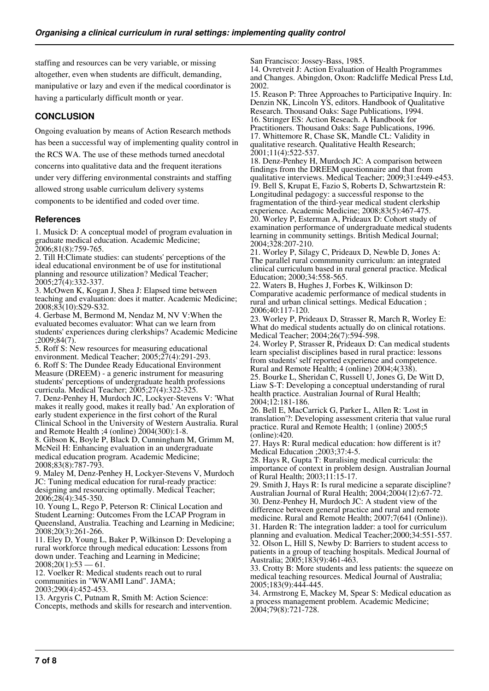staffing and resources can be very variable, or missing altogether, even when students are difficult, demanding, manipulative or lazy and even if the medical coordinator is having a particularly difficult month or year.

# **CONCLUSION**

Ongoing evaluation by means of Action Research methods has been a successful way of implementing quality control in the RCS WA. The use of these methods turned anecdotal concerns into qualitative data and the frequent iterations under very differing environmental constraints and staffing allowed strong usable curriculum delivery systems components to be identified and coded over time.

#### **References**

1. Musick D: A conceptual model of program evaluation in graduate medical education. Academic Medicine; 2006;81(8):759-765.

2. Till H:Climate studies: can students' perceptions of the ideal educational environment be of use for institutional planning and resource utilization? Medical Teacher; 2005;27(4):332-337.

3. McOwen K, Kogan J, Shea J: Elapsed time between teaching and evaluation: does it matter. Academic Medicine; 2008;83(10):S29-S32.

4. Gerbase M, Bermond M, Nendaz M, NV V:When the evaluated becomes evaluator: What can we learn from students' experiences during clerkships? Academic Medicine ;2009;84(7).

5. Roff S: New resources for measuring educational environment. Medical Teacher; 2005;27(4):291-293. 6. Roff S: The Dundee Ready Educational Environment Measure (DREEM) - a generic instrument for measuring students' perceptions of undergraduate health professions curricula. Medical Teacher; 2005;27(4):322-325.

7. Denz-Penhey H, Murdoch JC, Lockyer-Stevens V: 'What makes it really good, makes it really bad.' An exploration of early student experience in the first cohort of the Rural Clinical School in the University of Western Australia. Rural and Remote Health ;4 (online) 2004(300):1-8.

8. Gibson K, Boyle P, Black D, Cunningham M, Grimm M, McNeil H: Enhancing evaluation in an undergraduate medical education program. Academic Medicine; 2008;83(8):787-793.

9. Maley M, Denz-Penhey H, Lockyer-Stevens V, Murdoch JC: Tuning medical education for rural-ready practice: designing and resourcing optimally. Medical Teacher; 2006;28(4):345-350.

10. Young L, Rego P, Peterson R: Clinical Location and Student Learning: Outcomes From the LCAP Program in Queensland, Australia. Teaching and Learning in Medicine; 2008;20(3):261-266.

11. Eley D, Young L, Baker P, Wilkinson D: Developing a rural workforce through medical education: Lessons from down under. Teaching and Learning in Medicine;  $2008;20(1):53 - 61.$ 

12. Voelker R: Medical students reach out to rural communities in "WWAMI Land". JAMA; 2003;290(4):452-453.

13. Argyris C, Putnam R, Smith M: Action Science: Concepts, methods and skills for research and intervention. San Francisco: Jossey-Bass, 1985.

14. Ovretveit J: Action Evaluation of Health Programmes and Changes. Abingdon, Oxon: Radcliffe Medical Press Ltd, 2002.

15. Reason P: Three Approaches to Participative Inquiry. In: Denzin NK, Lincoln YS, editors. Handbook of Qualitative Research. Thousand Oaks: Sage Publications, 1994. 16. Stringer ES: Action Reseach. A Handbook for Practitioners. Thousand Oaks: Sage Publications, 1996. 17. Whittemore R, Chase SK, Mandle CL: Validity in qualitative research. Qualitative Health Research; 2001;11(4):522-537.

18. Denz-Penhey H, Murdoch JC: A comparison between findings from the DREEM questionnaire and that from qualitative interviews. Medical Teacher; 2009;31:e449-e453. 19. Bell S, Krupat E, Fazio S, Roberts D, Schwartzstein R: Longitudinal pedagogy: a successful response to the fragmentation of the third-year medical student clerkship experience. Academic Medicine; 2008;83(5):467-475. 20. Worley P, Esterman A, Prideaux D: Cohort study of examination performance of undergraduate medical students learning in community settings. British Medical Journal; 2004;328:207-210.

21. Worley P, Silagy C, Prideaux D, Newble D, Jones A: The parallel rural commmunity curriculum: an integrated clinical curriculum based in rural general practice. Medical Education; 2000;34:558-565.

22. Waters B, Hughes J, Forbes K, Wilkinson D: Comparative academic performance of medical students in rural and urban clinical settings. Medical Education ; 2006;40:117-120.

23. Worley P, Prideaux D, Strasser R, March R, Worley E: What do medical students actually do on clinical rotations. Medical Teacher; 2004;26(7):594-598.

24. Worley P, Strasser R, Prideaux D: Can medical students learn specialist disciplines based in rural practice: lessons from students' self reported experience and competence. Rural and Remote Health; 4 (online) 2004;4(338).

25. Bourke L, Sheridan C, Russell U, Jones G, De Witt D, Liaw S-T: Developing a conceptual understanding of rural health practice. Australian Journal of Rural Health; 2004;12:181-186.

26. Bell E, MacCarrick G, Parker L, Allen R: 'Lost in translation'?: Developing assessment criteria that value rural practice. Rural and Remote Health; 1 (online) 2005;5 (online):420.

27. Hays R: Rural medical education: how different is it? Medical Education ;2003;37:4-5.

28. Hays R, Gupta T: Ruralising medical curricula: the importance of context in problem design. Australian Journal of Rural Health; 2003;11:15-17.

29. Smith J, Hays R: Is rural medicine a separate discipline? Australian Journal of Rural Health; 2004;2004(12):67-72. 30. Denz-Penhey H, Murdoch JC: A student view of the difference between general practice and rural and remote

medicine. Rural and Remote Health; 2007;7(641 (Online)). 31. Harden R: The integration ladder: a tool for curriculum

planning and evaluation. Medical Teacher;2000;34:551-557. 32. Olson L, Hill S, Newby D: Barriers to student access to patients in a group of teaching hospitals. Medical Journal of Australia; 2005;183(9):461-463.

33. Crotty B: More students and less patients: the squeeze on medical teaching resources. Medical Journal of Australia; 2005;183(9):444-445.

34. Armstrong E, Mackey M, Spear S: Medical education as a process management problem. Academic Medicine; 2004;79(8):721-728.